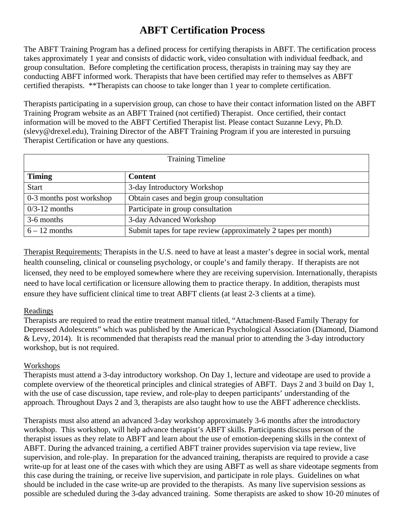# **ABFT Certification Process**

The ABFT Training Program has a defined process for certifying therapists in ABFT. The certification process takes approximately 1 year and consists of didactic work, video consultation with individual feedback, and group consultation. Before completing the certification process, therapists in training may say they are conducting ABFT informed work. Therapists that have been certified may refer to themselves as ABFT certified therapists. \*\*Therapists can choose to take longer than 1 year to complete certification.

Therapists participating in a supervision group, can chose to have their contact information listed on the ABFT Training Program website as an ABFT Trained (not certified) Therapist. Once certified, their contact information will be moved to the ABFT Certified Therapist list. Please contact Suzanne Levy, Ph.D. (slevy@drexel.edu), Training Director of the ABFT Training Program if you are interested in pursuing Therapist Certification or have any questions.

| <b>Training Timeline</b> |                                                                |
|--------------------------|----------------------------------------------------------------|
| <b>Timing</b>            | <b>Content</b>                                                 |
| <b>Start</b>             | 3-day Introductory Workshop                                    |
| 0-3 months post workshop | Obtain cases and begin group consultation                      |
| $0/3-12$ months          | Participate in group consultation                              |
| 3-6 months               | 3-day Advanced Workshop                                        |
| $6 - 12$ months          | Submit tapes for tape review (approximately 2 tapes per month) |

Therapist Requirements: Therapists in the U.S. need to have at least a master's degree in social work, mental health counseling, clinical or counseling psychology, or couple's and family therapy. If therapists are not licensed, they need to be employed somewhere where they are receiving supervision. Internationally, therapists need to have local certification or licensure allowing them to practice therapy. In addition, therapists must ensure they have sufficient clinical time to treat ABFT clients (at least 2-3 clients at a time).

#### Readings

Therapists are required to read the entire treatment manual titled, "Attachment-Based Family Therapy for Depressed Adolescents" which was published by the American Psychological Association (Diamond, Diamond & Levy, 2014). It is recommended that therapists read the manual prior to attending the 3-day introductory workshop, but is not required.

#### Workshops

Therapists must attend a 3-day introductory workshop. On Day 1, lecture and videotape are used to provide a complete overview of the theoretical principles and clinical strategies of ABFT. Days 2 and 3 build on Day 1, with the use of case discussion, tape review, and role-play to deepen participants' understanding of the approach. Throughout Days 2 and 3, therapists are also taught how to use the ABFT adherence checklists.

Therapists must also attend an advanced 3-day workshop approximately 3-6 months after the introductory workshop. This workshop, will help advance therapist's ABFT skills. Participants discuss person of the therapist issues as they relate to ABFT and learn about the use of emotion-deepening skills in the context of ABFT. During the advanced training, a certified ABFT trainer provides supervision via tape review, live supervision, and role-play. In preparation for the advanced training, therapists are required to provide a case write-up for at least one of the cases with which they are using ABFT as well as share videotape segments from this case during the training, or receive live supervision, and participate in role plays. Guidelines on what should be included in the case write-up are provided to the therapists. As many live supervision sessions as possible are scheduled during the 3-day advanced training. Some therapists are asked to show 10-20 minutes of